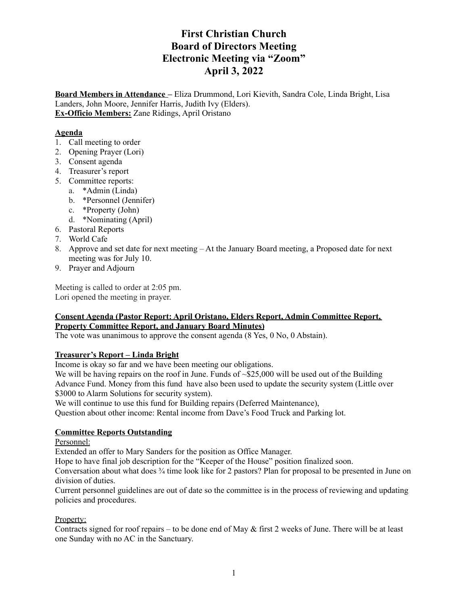# **First Christian Church Board of Directors Meeting Electronic Meeting via "Zoom" April 3, 2022**

**Board Members in Attendance –** Eliza Drummond, Lori Kievith, Sandra Cole, Linda Bright, Lisa Landers, John Moore, Jennifer Harris, Judith Ivy (Elders). **Ex-Officio Members:** Zane Ridings, April Oristano

## **Agenda**

- 1. Call meeting to order
- 2. Opening Prayer (Lori)
- 3. Consent agenda
- 4. Treasurer's report
- 5. Committee reports:
	- a. \*Admin (Linda)
	- b. \*Personnel (Jennifer)
	- c. \*Property (John)
	- d. \*Nominating (April)
- 6. Pastoral Reports
- 7. World Cafe
- 8. Approve and set date for next meeting At the January Board meeting, a Proposed date for next meeting was for July 10.
- 9. Prayer and Adjourn

Meeting is called to order at 2:05 pm. Lori opened the meeting in prayer.

### **Consent Agenda (Pastor Report: April Oristano, Elders Report, Admin Committee Report, Property Committee Report, and January Board Minutes)**

The vote was unanimous to approve the consent agenda (8 Yes, 0 No, 0 Abstain).

### **Treasurer's Report – Linda Bright**

Income is okay so far and we have been meeting our obligations.

We will be having repairs on the roof in June. Funds of ~\$25,000 will be used out of the Building Advance Fund. Money from this fund have also been used to update the security system (Little over \$3000 to Alarm Solutions for security system).

We will continue to use this fund for Building repairs (Deferred Maintenance),

Question about other income: Rental income from Dave's Food Truck and Parking lot.

## **Committee Reports Outstanding**

Personnel:

Extended an offer to Mary Sanders for the position as Office Manager.

Hope to have final job description for the "Keeper of the House" position finalized soon.

Conversation about what does ¾ time look like for 2 pastors? Plan for proposal to be presented in June on division of duties.

Current personnel guidelines are out of date so the committee is in the process of reviewing and updating policies and procedures.

### Property:

Contracts signed for roof repairs – to be done end of May & first 2 weeks of June. There will be at least one Sunday with no AC in the Sanctuary.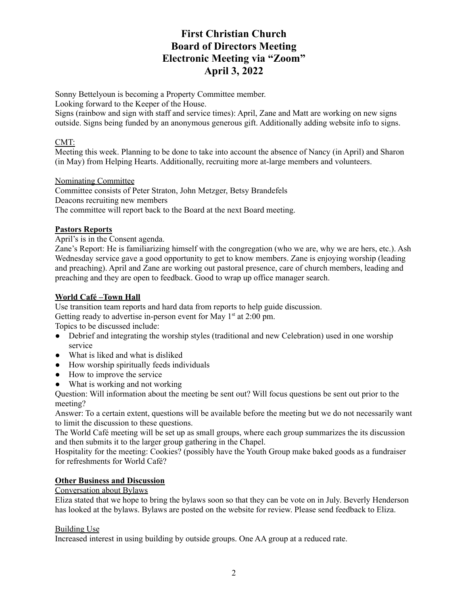# **First Christian Church Board of Directors Meeting Electronic Meeting via "Zoom" April 3, 2022**

Sonny Bettelyoun is becoming a Property Committee member.

Looking forward to the Keeper of the House.

Signs (rainbow and sign with staff and service times): April, Zane and Matt are working on new signs outside. Signs being funded by an anonymous generous gift. Additionally adding website info to signs.

## CMT:

Meeting this week. Planning to be done to take into account the absence of Nancy (in April) and Sharon (in May) from Helping Hearts. Additionally, recruiting more at-large members and volunteers.

## Nominating Committee

Committee consists of Peter Straton, John Metzger, Betsy Brandefels Deacons recruiting new members The committee will report back to the Board at the next Board meeting.

## **Pastors Reports**

April's is in the Consent agenda.

Zane's Report: He is familiarizing himself with the congregation (who we are, why we are hers, etc.). Ash Wednesday service gave a good opportunity to get to know members. Zane is enjoying worship (leading and preaching). April and Zane are working out pastoral presence, care of church members, leading and preaching and they are open to feedback. Good to wrap up office manager search.

## **World Café –Town Hall**

Use transition team reports and hard data from reports to help guide discussion. Getting ready to advertise in-person event for May  $1<sup>st</sup>$  at 2:00 pm.

Topics to be discussed include:

- Debrief and integrating the worship styles (traditional and new Celebration) used in one worship service
- What is liked and what is disliked
- How worship spiritually feeds individuals
- How to improve the service
- What is working and not working

Question: Will information about the meeting be sent out? Will focus questions be sent out prior to the meeting?

Answer: To a certain extent, questions will be available before the meeting but we do not necessarily want to limit the discussion to these questions.

The World Café meeting will be set up as small groups, where each group summarizes the its discussion and then submits it to the larger group gathering in the Chapel.

Hospitality for the meeting: Cookies? (possibly have the Youth Group make baked goods as a fundraiser for refreshments for World Café?

## **Other Business and Discussion**

### Conversation about Bylaws

Eliza stated that we hope to bring the bylaws soon so that they can be vote on in July. Beverly Henderson has looked at the bylaws. Bylaws are posted on the website for review. Please send feedback to Eliza.

### Building Use

Increased interest in using building by outside groups. One AA group at a reduced rate.